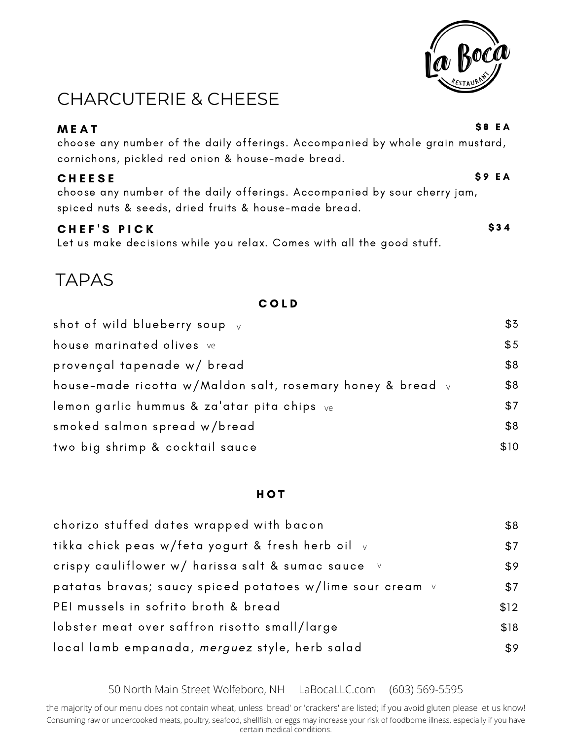

## CHARCUTERIE & CHEESE

| <b>MEAT</b>                                                                                                                                         | S8 EA |
|-----------------------------------------------------------------------------------------------------------------------------------------------------|-------|
| choose any number of the daily offerings. Accompanied by whole grain mustard,<br>cornichons, pickled red onion & house-made bread.                  |       |
| <b>CHEESE</b><br>choose any number of the daily offerings. Accompanied by sour cherry jam,<br>spiced nuts & seeds, dried fruits & house-made bread. | S9 EA |
| CHEF'S PICK                                                                                                                                         | \$34  |

Let us make decisions while you relax. Comes with all the good stuff.

## TAPAS

#### C O L D

| shot of wild blueberry soup $_{\rm V}$                     | \$3  |
|------------------------------------------------------------|------|
| house marinated olives ve                                  | \$5  |
| provençal tapenade w/ bread                                | \$8  |
| house-made ricotta w/Maldon salt, rosemary honey & bread v | \$8  |
| lemon garlic hummus & za'atar pita chips ve                | \$7  |
| smoked salmon spread w/bread                               | \$8  |
| two big shrimp & cocktail sauce                            | \$10 |

#### H O T

| chorizo stuffed dates wrapped with bacon                  | \$8  |
|-----------------------------------------------------------|------|
| tikka chick peas w/feta yogurt & fresh herb oil v         | \$7  |
| crispy cauliflower w/ harissa salt & sumac sauce v        | \$9  |
| patatas bravas; saucy spiced potatoes w/lime sour cream v | \$7  |
| PEI mussels in sofrito broth & bread                      | \$12 |
| lobster meat over saffron risotto small/large             | \$18 |
| local lamb empanada, merguez style, herb salad            | \$9  |

50 North Main Street Wolfeboro, NH LaBocaLLC.com (603) 569-5595

Consuming raw or undercooked meats, poultry, seafood, shellfish, or eggs may increase your risk of foodborne illness, especially if you have certain medical conditions. the majority of our menu does not contain wheat, unless 'bread' or 'crackers' are listed; if you avoid gluten please let us know!